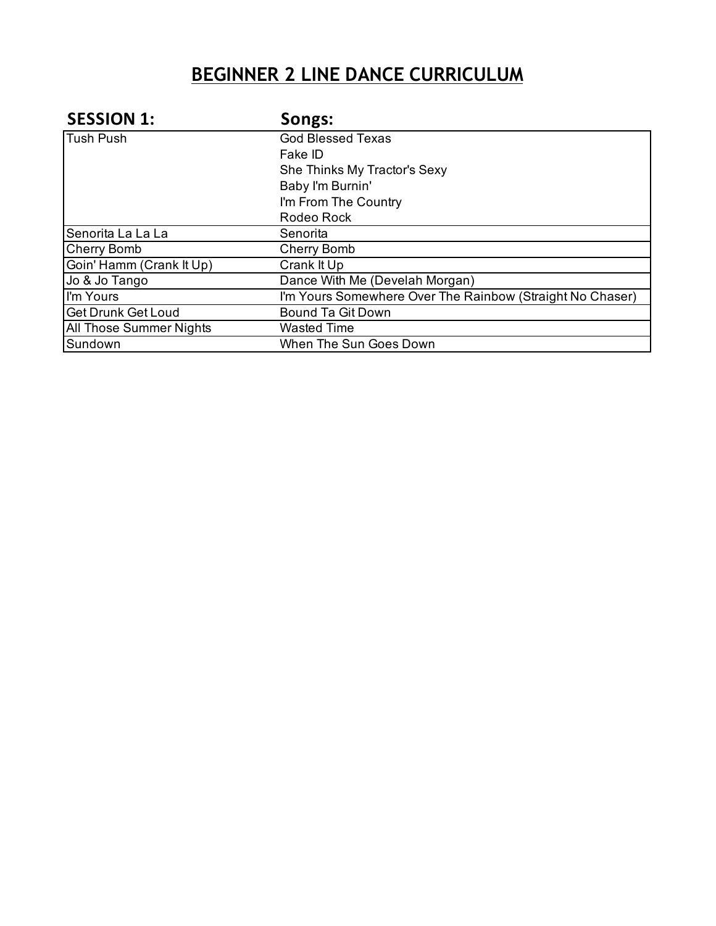| <b>SESSION 1:</b>              | Songs:                                                    |
|--------------------------------|-----------------------------------------------------------|
| Tush Push                      | <b>God Blessed Texas</b>                                  |
|                                | Fake ID                                                   |
|                                | She Thinks My Tractor's Sexy                              |
|                                | Baby I'm Burnin'                                          |
|                                | I'm From The Country                                      |
|                                | Rodeo Rock                                                |
| Senorita La La La              | Senorita                                                  |
| <b>Cherry Bomb</b>             | <b>Cherry Bomb</b>                                        |
| Goin' Hamm (Crank It Up)       | Crank It Up                                               |
| Jo & Jo Tango                  | Dance With Me (Develah Morgan)                            |
| I'm Yours                      | I'm Yours Somewhere Over The Rainbow (Straight No Chaser) |
| <b>Get Drunk Get Loud</b>      | <b>Bound Ta Git Down</b>                                  |
| <b>All Those Summer Nights</b> | <b>Wasted Time</b>                                        |
| Sundown                        | When The Sun Goes Down                                    |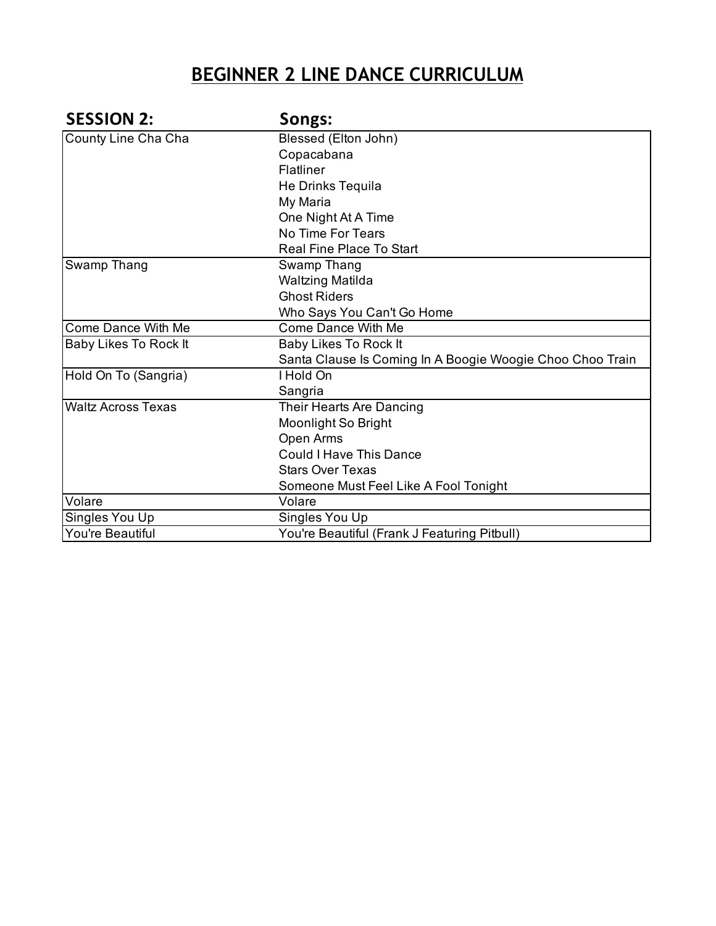| <b>SESSION 2:</b>         | Songs:                                                    |
|---------------------------|-----------------------------------------------------------|
| County Line Cha Cha       | Blessed (Elton John)                                      |
|                           | Copacabana                                                |
|                           | Flatliner                                                 |
|                           | He Drinks Tequila                                         |
|                           | My Maria                                                  |
|                           | One Night At A Time                                       |
|                           | No Time For Tears                                         |
|                           | <b>Real Fine Place To Start</b>                           |
| Swamp Thang               | Swamp Thang                                               |
|                           | Waltzing Matilda                                          |
|                           | <b>Ghost Riders</b>                                       |
|                           | Who Says You Can't Go Home                                |
| Come Dance With Me        | <b>Come Dance With Me</b>                                 |
| Baby Likes To Rock It     | Baby Likes To Rock It                                     |
|                           | Santa Clause Is Coming In A Boogie Woogie Choo Choo Train |
| Hold On To (Sangria)      | I Hold On                                                 |
|                           | Sangria                                                   |
| <b>Waltz Across Texas</b> | Their Hearts Are Dancing                                  |
|                           | Moonlight So Bright                                       |
|                           | Open Arms                                                 |
|                           | <b>Could I Have This Dance</b>                            |
|                           | <b>Stars Over Texas</b>                                   |
|                           | Someone Must Feel Like A Fool Tonight                     |
| Volare                    | Volare                                                    |
| Singles You Up            | Singles You Up                                            |
| You're Beautiful          | You're Beautiful (Frank J Featuring Pitbull)              |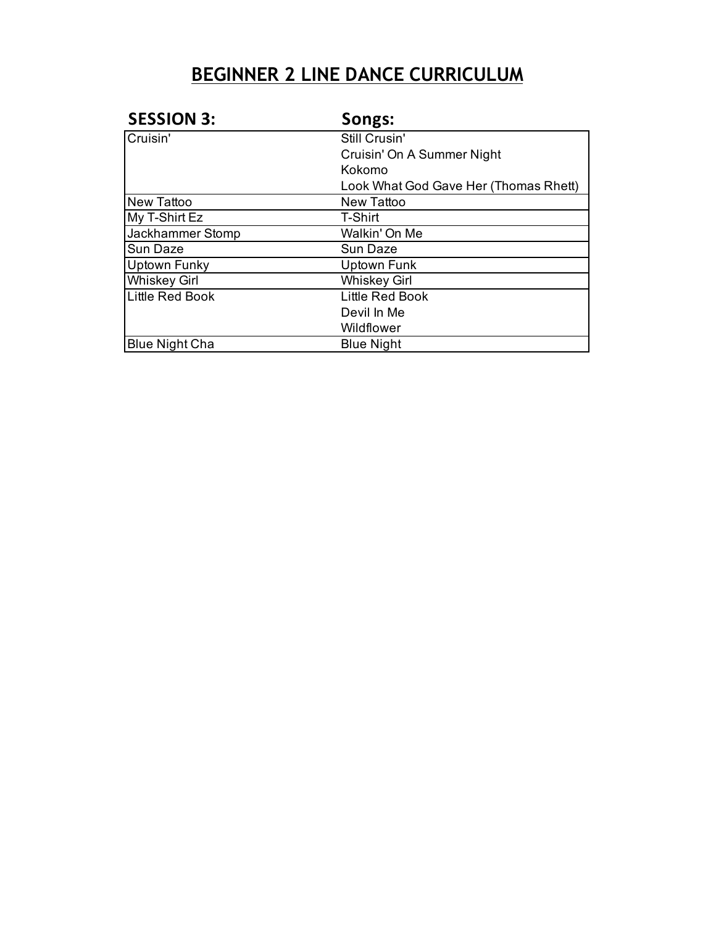| <b>SESSION 3:</b>     | Songs:                                |
|-----------------------|---------------------------------------|
| Cruisin'              | Still Crusin'                         |
|                       | Cruisin' On A Summer Night            |
|                       | Kokomo                                |
|                       | Look What God Gave Her (Thomas Rhett) |
| <b>New Tattoo</b>     | New Tattoo                            |
| My T-Shirt Ez         | T-Shirt                               |
| Jackhammer Stomp      | Walkin' On Me                         |
| Sun Daze              | Sun Daze                              |
| Uptown Funky          | Uptown Funk                           |
| <b>Whiskey Girl</b>   | <b>Whiskey Girl</b>                   |
| Little Red Book       | Little Red Book                       |
|                       | Devil In Me                           |
|                       | Wildflower                            |
| <b>Blue Night Cha</b> | <b>Blue Night</b>                     |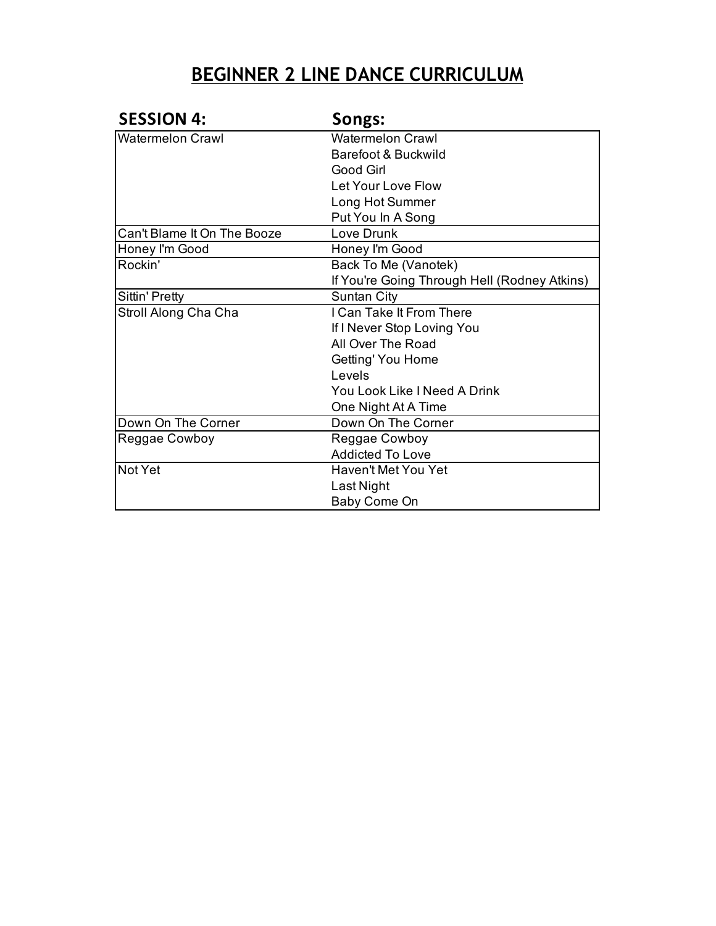| <b>SESSION 4:</b>           | Songs:                                       |
|-----------------------------|----------------------------------------------|
| <b>Watermelon Crawl</b>     | <b>Watermelon Crawl</b>                      |
|                             | Barefoot & Buckwild                          |
|                             | Good Girl                                    |
|                             | Let Your Love Flow                           |
|                             | Long Hot Summer                              |
|                             | Put You In A Song                            |
| Can't Blame It On The Booze | Love Drunk                                   |
| Honey I'm Good              | Honey I'm Good                               |
| Rockin'                     | Back To Me (Vanotek)                         |
|                             | If You're Going Through Hell (Rodney Atkins) |
| Sittin' Pretty              | Suntan City                                  |
| Stroll Along Cha Cha        | I Can Take It From There                     |
|                             | If I Never Stop Loving You                   |
|                             | All Over The Road                            |
|                             | Getting' You Home                            |
|                             | Levels                                       |
|                             | You Look Like I Need A Drink                 |
|                             | One Night At A Time                          |
| Down On The Corner          | Down On The Corner                           |
| Reggae Cowboy               | Reggae Cowboy                                |
|                             | <b>Addicted To Love</b>                      |
| Not Yet                     | <b>Haven't Met You Yet</b>                   |
|                             | Last Night                                   |
|                             | Baby Come On                                 |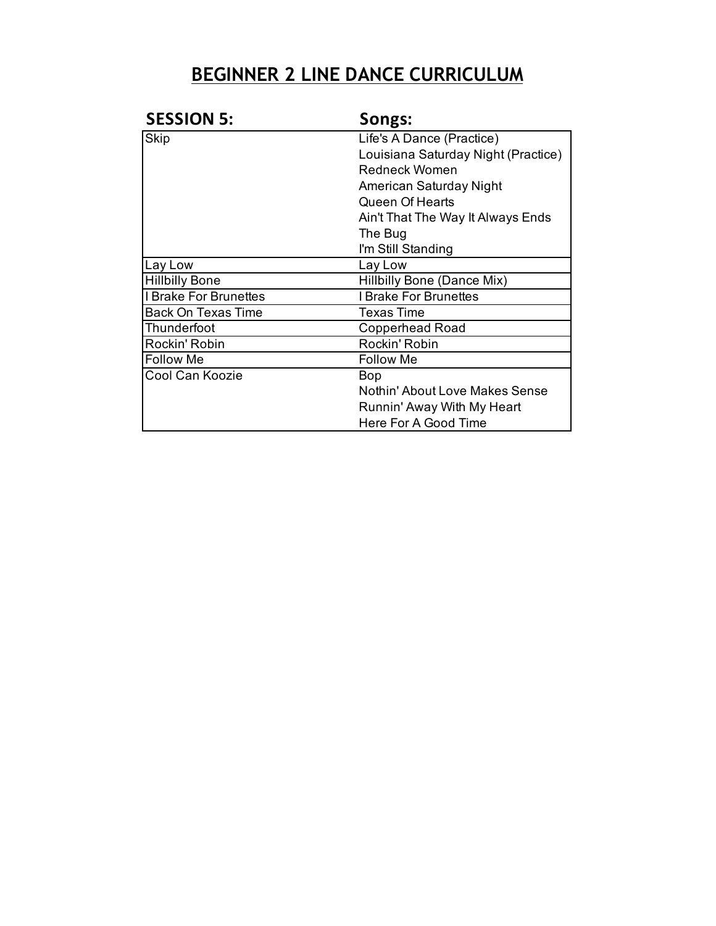| <b>SESSION 5:</b>            | Songs:                              |
|------------------------------|-------------------------------------|
| Skip                         | Life's A Dance (Practice)           |
|                              | Louisiana Saturday Night (Practice) |
|                              | <b>Redneck Women</b>                |
|                              | American Saturday Night             |
|                              | Queen Of Hearts                     |
|                              | Ain't That The Way It Always Ends   |
|                              | The Bug                             |
|                              | I'm Still Standing                  |
| Lay Low                      | Lay Low                             |
| <b>Hillbilly Bone</b>        | Hillbilly Bone (Dance Mix)          |
| <b>I Brake For Brunettes</b> | <b>I Brake For Brunettes</b>        |
| <b>Back On Texas Time</b>    | <b>Texas Time</b>                   |
| Thunderfoot                  | <b>Copperhead Road</b>              |
| Rockin' Robin                | Rockin' Robin                       |
| <b>Follow Me</b>             | <b>Follow Me</b>                    |
| Cool Can Koozie              | <b>Bop</b>                          |
|                              | Nothin' About Love Makes Sense      |
|                              | Runnin' Away With My Heart          |
|                              | Here For A Good Time                |